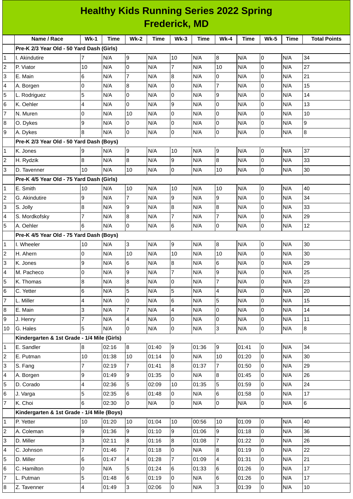|                      | <b>Healthy Kids Running Series 2022 Spring</b> |                |             |                         |             |                |             |                  |             |                |             |                     |
|----------------------|------------------------------------------------|----------------|-------------|-------------------------|-------------|----------------|-------------|------------------|-------------|----------------|-------------|---------------------|
| <b>Frederick, MD</b> |                                                |                |             |                         |             |                |             |                  |             |                |             |                     |
|                      | Name / Race                                    | $Wk-1$         | <b>Time</b> | <b>Wk-2</b>             | <b>Time</b> | $Wk-3$         | <b>Time</b> | $Wk-4$           | <b>Time</b> | <b>Wk-5</b>    | <b>Time</b> | <b>Total Points</b> |
|                      | Pre-K 2/3 Year Old - 50 Yard Dash (Girls)      |                |             |                         |             |                |             |                  |             |                |             |                     |
| 1                    | I. Akindutire                                  | 7              | N/A         | 9                       | N/A         | 10             | N/A         | $\boldsymbol{8}$ | N/A         | 0              | N/A         | 34                  |
| $\overline{c}$       | P. Viator                                      | 10             | N/A         | Iо                      | N/A         | $\overline{7}$ | N/A         | 10               | N/A         | 0              | N/A         | 27                  |
| 3                    | E. Main                                        | 6              | N/A         | $\overline{7}$          | N/A         | 8              | N/A         | 0                | N/A         | 0              | N/A         | 21                  |
| 4                    | A. Borgen                                      | 0              | N/A         | 8                       | N/A         | 0              | N/A         | $\overline{7}$   | N/A         | $\overline{0}$ | N/A         | 15                  |
| 5                    | L. Rodriguez                                   | 5              | N/A         | $\overline{0}$          | N/A         | 0              | N/A         | $\mathsf g$      | N/A         | 0              | N/A         | 14                  |
| 6                    | K. Oehler                                      | 4              | N/A         | l0                      | N/A         | 9              | N/A         | $\overline{0}$   | N/A         | 0              | N/A         | 13                  |
| $\overline{7}$       | N. Muren                                       | 0              | N/A         | 10                      | N/A         | 0              | N/A         | 0                | N/A         | 0              | N/A         | 10                  |
| 8                    | O. Dykes                                       | 9              | N/A         | 0                       | N/A         | 0              | N/A         | 0                | N/A         | $\mathsf 0$    | N/A         | 9                   |
| 9                    | A. Dykes                                       | 8              | N/A         | l0                      | N/A         | 0              | N/A         | $\mathsf 0$      | N/A         | 0              | N/A         | $\bf{8}$            |
|                      | Pre-K 2/3 Year Old - 50 Yard Dash (Boys)       |                |             |                         |             |                |             |                  |             |                |             |                     |
| 1                    | K. Jones                                       | 9              | N/A         | 9                       | N/A         | 10             | N/A         | $\boldsymbol{9}$ | N/A         | $\mathsf{O}$   | N/A         | 37                  |
| 2                    | H. Rydzik                                      | 8              | N/A         | $\bf{8}$                | N/A         | 9              | N/A         | $\bf{8}$         | N/A         | 0              | N/A         | 33                  |
| 3                    | D. Tavenner                                    | 10             | N/A         | 10                      | N/A         | 0              | N/A         | 10               | N/A         | $\overline{0}$ | N/A         | 30                  |
|                      | Pre-K 4/5 Year Old - 75 Yard Dash (Girls)      |                |             |                         |             |                |             |                  |             |                |             |                     |
| 1                    | E. Smith                                       | 10             | N/A         | 10                      | N/A         | 10             | N/A         | 10               | N/A         | 0              | N/A         | 40                  |
| 2                    | G. Akindutire                                  | 9              | N/A         | 7                       | N/A         | 9              | N/A         | $\overline{9}$   | N/A         | $\mathsf 0$    | N/A         | 34                  |
| 3                    | S. Jolly                                       | 8              | N/A         | 9                       | N/A         | 8              | N/A         | $\overline{8}$   | N/A         | 0              | N/A         | 33                  |
| 4                    | S. Mordkofsky                                  | 7              | N/A         | $\boldsymbol{8}$        | N/A         | $\overline{7}$ | N/A         | $\overline{7}$   | N/A         | 0              | N/A         | 29                  |
| 5                    | A. Oehler                                      | 6              | N/A         | $\overline{0}$          | N/A         | 6              | N/A         | $\mathsf 0$      | N/A         | $\mathsf 0$    | N/A         | 12                  |
|                      | Pre-K 4/5 Year Old - 75 Yard Dash (Boys)       |                |             |                         |             |                |             |                  |             |                |             |                     |
| 1                    | I. Wheeler                                     | 10             | N/A         | $\overline{3}$          | N/A         | 9              | N/A         | 8                | N/A         | $\mathsf{O}$   | N/A         | 30                  |
| 2                    | H. Ahern                                       | 0              | N/A         | 10                      | N/A         | 10             | N/A         | 10               | N/A         | 0              | N/A         | 30                  |
| 3                    | K. Jones                                       | 9              | N/A         | $6\phantom{.}6$         | N/A         | 8              | N/A         | 6                | N/A         | 0              | N/A         | 29                  |
| 4                    | M. Pacheco                                     | 0              | N/A         | 9                       | N/A         | $\overline{7}$ | N/A         | 9                | N/A         | $\mathsf 0$    | N/A         | 25                  |
| 5                    | K. Thomas                                      | 8              | N/A         | 8                       | N/A         | $\mathbf 0$    | N/A         | $\overline{7}$   | N/A         | $\mathsf{O}$   | N/A         | 23                  |
| 6                    | C. Yetter                                      | 6              | N/A         | 5                       | N/A         | 5              | N/A         | $\overline{4}$   | N/A         | $\mathsf{O}$   | N/A         | 20                  |
| 7                    | L. Miller                                      | 4              | N/A         | 0                       | N/A         | 6              | N/A         | 5                | N/A         | $\mathsf 0$    | N/A         | 15                  |
| 8                    | E. Main                                        | 3              | N/A         | $\overline{7}$          | N/A         | 4              | N/A         | l <sub>0</sub>   | N/A         | $\mathsf{O}$   | N/A         | 14                  |
| 9                    | J. Henry                                       | 7              | N/A         | $\overline{\mathbf{4}}$ | N/A         | 0              | N/A         | $\mathsf 0$      | N/A         | $\mathsf 0$    | N/A         | 11                  |
| 10                   | G. Hales                                       | 5              | N/A         | $\overline{0}$          | N/A         | 0              | N/A         | $\overline{3}$   | N/A         | $\mathsf{O}$   | N/A         | $\bf{8}$            |
|                      | Kindergarten & 1st Grade - 1/4 Mile (Girls)    |                |             |                         |             |                |             |                  |             |                |             |                     |
| 1                    | E. Sandler                                     | 8              | 02:16       | 8                       | 01:40       | 9              | 01:36       | 9                | 01:41       | $\mathsf{O}$   | N/A         | 34                  |
| 2                    | E. Putman                                      | 10             | 01:38       | 10                      | 01:14       | $\overline{0}$ | N/A         | 10               | 01:20       | $\mathsf{O}$   | N/A         | 30                  |
| 3                    | S. Fang                                        | $\overline{7}$ | 02:19       | $\overline{7}$          | 01:41       | $\overline{8}$ | 01:37       | $\overline{7}$   | 01:50       | $\overline{0}$ | N/A         | 29                  |
| 4                    | A. Borgen                                      | 9              | 01:49       | $\overline{9}$          | 01:35       | 0              | N/A         | 8                | 01:45       | $\mathsf{O}$   | N/A         | 26                  |
| 5                    | D. Corado                                      | 4              | 02:36       | 5                       | 02:09       | 10             | 01:35       | $\overline{5}$   | 01:59       | $\mathsf{O}$   | N/A         | 24                  |
| 6                    | J. Varga                                       | 5              | 02:35       | $6\phantom{.}6$         | 01:48       | $\overline{0}$ | N/A         | $\,6$            | 01:58       | $\mathsf 0$    | N/A         | 17                  |
| $\overline{7}$       | K. Choi                                        | 6              | 02:30       | 0                       | N/A         | $\overline{0}$ | N/A         | $\overline{0}$   | N/A         | $\mathsf{O}$   | N/A         | $6\overline{6}$     |
|                      | Kindergarten & 1st Grade - 1/4 Mile (Boys)     |                |             |                         |             |                |             |                  |             |                |             |                     |
| 1                    | P. Yetter                                      | 10             | 01:20       | 10                      | 01:04       | 10             | 00:56       | 10               | 01:09       | $\mathsf 0$    | N/A         | 40                  |
| 2                    | A. Coleman                                     | 9              | 01:36       | $\overline{9}$          | 01:10       | $\overline{9}$ | 01:06       | 9                | 01:18       | $\mathsf{O}$   | N/A         | 36                  |
| 3                    | D. Miller                                      | 3              | 02:11       | $\overline{8}$          | 01:16       | 8              | 01:08       | $\overline{7}$   | 01:22       | $\overline{0}$ | N/A         | 26                  |
| 4                    | C. Johnson                                     | 7              | 01:46       | 7                       | 01:18       | 0              | N/A         | $\, 8$           | 01:19       | $\mathsf 0$    | N/A         | 22                  |
| 5                    | D. Miller                                      | 6              | 01:47       | $\overline{\mathbf{4}}$ | 01:28       | $\overline{7}$ | 01:09       | $\overline{4}$   | 01:31       | $\mathsf 0$    | N/A         | 21                  |
| 6                    | C. Hamilton                                    | 0              | N/A         | 5                       | 01:24       | 6              | 01:33       | 6                | 01:26       | $\overline{0}$ | N/A         | 17                  |
| 7                    | L. Putman                                      | 5              | 01:48       | $\,6$                   | 01:19       | 0              | N/A         | $\, 6$           | 01:26       | $\mathsf 0$    | N/A         | 17                  |
| 8                    | Z. Tavenner                                    | 4              | 01:49       | 3                       | 02:06       | <b>O</b>       | N/A         | 3                | 01:39       | $\overline{0}$ | N/A         | 10                  |